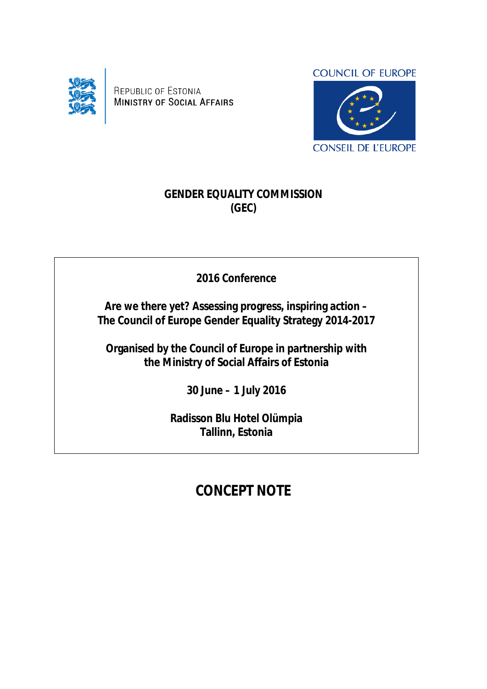

REPUBLIC OF ESTONIA **MINISTRY OF SOCIAL AFFAIRS** 



## **GENDER EQUALITY COMMISSION (GEC)**

**2016 Conference**

**Are we there yet? Assessing progress, inspiring action – The Council of Europe Gender Equality Strategy 2014-2017**

**Organised by the Council of Europe in partnership with the Ministry of Social Affairs of Estonia**

**30 June – 1 July 2016**

**Radisson Blu Hotel Olümpia Tallinn, Estonia**

## **CONCEPT NOTE**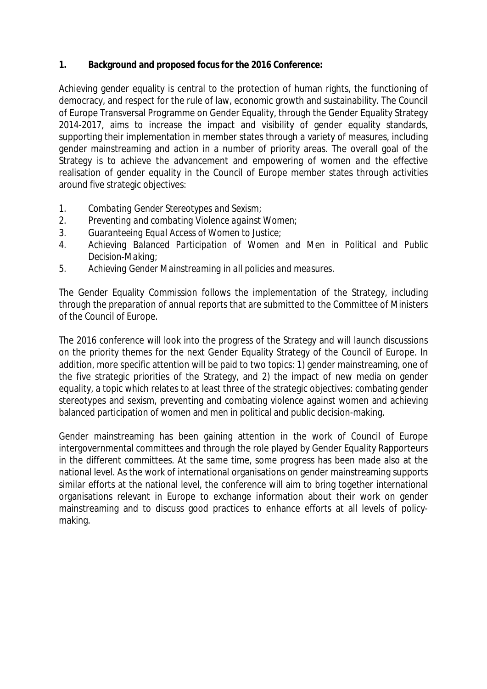**1. Background and proposed focus for the 2016 Conference:**

Achieving gender equality is central to the protection of human rights, the functioning of democracy, and respect for the rule of law, economic growth and sustainability. The Council of Europe Transversal Programme on Gender Equality, through the Gender Equality Strategy 2014-2017, aims to increase the impact and visibility of gender equality standards, supporting their implementation in member states through a variety of measures, including gender mainstreaming and action in a number of priority areas. The overall goal of the Strategy is to achieve the advancement and empowering of women and the effective realisation of gender equality in the Council of Europe member states through activities around five strategic objectives:

- *1. Combating Gender Stereotypes and Sexism;*
- *2. Preventing and combating Violence against Women;*
- *3. Guaranteeing Equal Access of Women to Justice;*
- *4. Achieving Balanced Participation of Women and Men in Political and Public Decision-Making;*
- *5. Achieving Gender Mainstreaming in all policies and measures.*

The Gender Equality Commission follows the implementation of the Strategy, including through the preparation of annual reports that are submitted to the Committee of Ministers of the Council of Europe.

The 2016 conference will look into the progress of the Strategy and will launch discussions on the priority themes for the next Gender Equality Strategy of the Council of Europe. In addition, more specific attention will be paid to two topics: 1) gender mainstreaming, one of the five strategic priorities of the Strategy, and 2) the impact of new media on gender equality, a topic which relates to at least three of the strategic objectives: combating gender stereotypes and sexism, preventing and combating violence against women and achieving balanced participation of women and men in political and public decision-making.

Gender mainstreaming has been gaining attention in the work of Council of Europe intergovernmental committees and through the role played by Gender Equality Rapporteurs in the different committees. At the same time, some progress has been made also at the national level. As the work of international organisations on gender mainstreaming supports similar efforts at the national level, the conference will aim to bring together international organisations relevant in Europe to exchange information about their work on gender mainstreaming and to discuss good practices to enhance efforts at all levels of policymaking.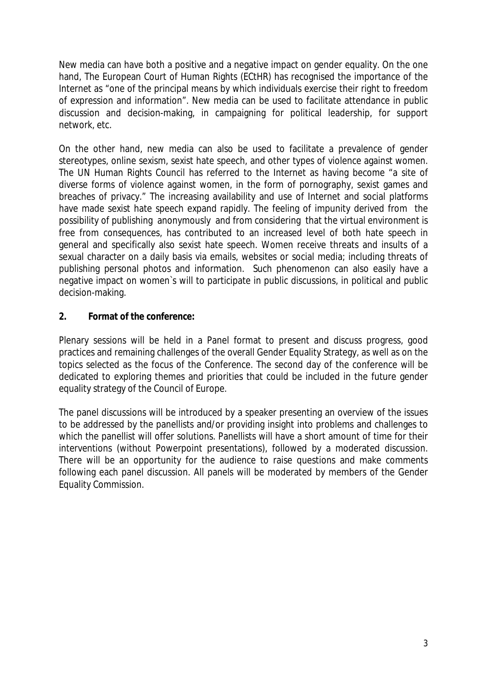New media can have both a positive and a negative impact on gender equality. On the one hand, The European Court of Human Rights (ECtHR) has recognised the importance of the Internet as "one of the principal means by which individuals exercise their right to freedom of expression and information". New media can be used to facilitate attendance in public discussion and decision-making, in campaigning for political leadership, for support network, etc.

On the other hand, new media can also be used to facilitate a prevalence of gender stereotypes, online sexism, sexist hate speech, and other types of violence against women. The UN Human Rights Council has referred to the Internet as having become "a site of diverse forms of violence against women, in the form of pornography, sexist games and breaches of privacy." The increasing availability and use of Internet and social platforms have made sexist hate speech expand rapidly. The feeling of impunity derived from the possibility of publishing anonymously and from considering that the virtual environment is free from consequences, has contributed to an increased level of both hate speech in general and specifically also sexist hate speech. Women receive threats and insults of a sexual character on a daily basis via emails, websites or social media; including threats of publishing personal photos and information. Such phenomenon can also easily have a negative impact on women`s will to participate in public discussions, in political and public decision-making.

**2. Format of the conference:**

Plenary sessions will be held in a Panel format to present and discuss progress, good practices and remaining challenges of the overall Gender Equality Strategy, as well as on the topics selected as the focus of the Conference. The second day of the conference will be dedicated to exploring themes and priorities that could be included in the future gender equality strategy of the Council of Europe.

The panel discussions will be introduced by a speaker presenting an overview of the issues to be addressed by the panellists and/or providing insight into problems and challenges to which the panellist will offer solutions. Panellists will have a short amount of time for their interventions (without Powerpoint presentations), followed by a moderated discussion. There will be an opportunity for the audience to raise questions and make comments following each panel discussion. All panels will be moderated by members of the Gender Equality Commission.